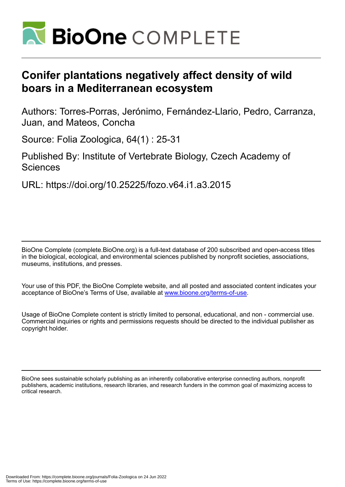

# **Conifer plantations negatively affect density of wild boars in a Mediterranean ecosystem**

Authors: Torres-Porras, Jerónimo, Fernández-Llario, Pedro, Carranza, Juan, and Mateos, Concha

Source: Folia Zoologica, 64(1) : 25-31

Published By: Institute of Vertebrate Biology, Czech Academy of Sciences

URL: https://doi.org/10.25225/fozo.v64.i1.a3.2015

BioOne Complete (complete.BioOne.org) is a full-text database of 200 subscribed and open-access titles in the biological, ecological, and environmental sciences published by nonprofit societies, associations, museums, institutions, and presses.

Your use of this PDF, the BioOne Complete website, and all posted and associated content indicates your acceptance of BioOne's Terms of Use, available at www.bioone.org/terms-of-use.

Usage of BioOne Complete content is strictly limited to personal, educational, and non - commercial use. Commercial inquiries or rights and permissions requests should be directed to the individual publisher as copyright holder.

BioOne sees sustainable scholarly publishing as an inherently collaborative enterprise connecting authors, nonprofit publishers, academic institutions, research libraries, and research funders in the common goal of maximizing access to critical research.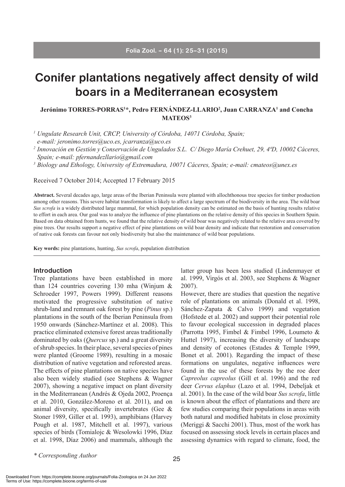# **Conifer plantations negatively affect density of wild boars in a Mediterranean ecosystem**

## **Jerónimo TORRES-PORRAS1 \*, Pedro FERNÁNDEZ-LLARIO2 , Juan CARRANZA1 and Concha MATEOS3**

*<sup>1</sup> Ungulate Research Unit, CRCP, University of Córdoba, 14071 Córdoba, Spain;* 

*e-mail: jeronimo.torres@uco.es, jcarranza@uco.es*

*<sup>2</sup> Innovación en Gestión y Conservación de Ungulados S.L. C/ Diego María Crehuet, 29, 4ªD, 10002 Cáceres, Spain; e-mail: pfernandezllario@gmail.com*

<sup>3</sup> Biology and Ethology, University of Extremadura, 10071 Cáceres, Spain; e-mail: cmateos@unex.es

Received 7 October 2014; Accepted 17 February 2015

**Abstract.** Several decades ago, large areas of the Iberian Peninsula were planted with allochthonous tree species for timber production among other reasons. This severe habitat transformation is likely to affect a large spectrum of the biodiversity in the area. The wild boar *Sus scrofa* is a widely distributed large mammal, for which population density can be estimated on the basis of hunting results relative to effort in each area. Our goal was to analyze the influence of pine plantations on the relative density of this species in Southern Spain. Based on data obtained from hunts, we found that the relative density of wild boar was negatively related to the relative area covered by pine trees. Our results support a negative effect of pine plantations on wild boar density and indicate that restoration and conservation of native oak forests can favour not only biodiversity but also the maintenance of wild boar populations.

**Key words:** pine plantations, hunting, *Sus scrofa*, population distribution

#### **Introduction**

Tree plantations have been established in more than 124 countries covering 130 mha (Winjum & Schroeder 1997, Powers 1999). Different reasons motivated the progressive substitution of native shrub-land and remnant oak forest by pine (*Pinus* sp.) plantations in the south of the Iberian Peninsula from 1950 onwards (Sánchez-Martínez et al. 2008). This practice eliminated extensive forest areas traditionally dominated by oaks (*Quercus* sp.) and a great diversity of shrub species. In their place, several species of pines were planted (Groome 1989), resulting in a mosaic distribution of native vegetation and reforested areas. The effects of pine plantations on native species have also been widely studied (see Stephens & Wagner 2007), showing a negative impact on plant diversity in the Mediterranean (Andrés & Ojeda 2002, Proença et al. 2010, González-Moreno et al. 2011), and on animal diversity, specifically invertebrates (Gee & Stoner 1989, Giller et al. 1993), amphibians (Harvey Pough et al. 1987, Mitchell et al. 1997), various species of birds (Tomialojc & Wesolowki 1996, Díaz et al. 1998, Díaz 2006) and mammals, although the

latter group has been less studied (Lindenmayer et al. 1999, Virgós et al. 2003, see Stephens & Wagner 2007).

However, there are studies that question the negative role of plantations on animals (Donald et al. 1998, Sánchez-Zapata & Calvo 1999) and vegetation (Hofstede et al. 2002) and support their potential role to favour ecological succession in degraded places (Parrotta 1995, Fimbel & Fimbel 1996, Loumeto & Huttel 1997), increasing the diversity of landscape and density of ecotones (Estades & Temple 1999, Bonet et al. 2001). Regarding the impact of these formations on ungulates, negative influences were found in the use of these forests by the roe deer *Capreolus capreolus* (Gill et al. 1996) and the red deer *Cervus elaphus* (Lazo et al. 1994, Debeljak et al. 2001). In the case of the wild boar *Sus scrofa*, little is known about the effect of plantations and there are few studies comparing their populations in areas with both natural and modified habitats in close proximity (Meriggi & Sacchi 2001). Thus, most of the work has focused on assessing stock levels in certain places and assessing dynamics with regard to climate, food, the

*\* Corresponding Author*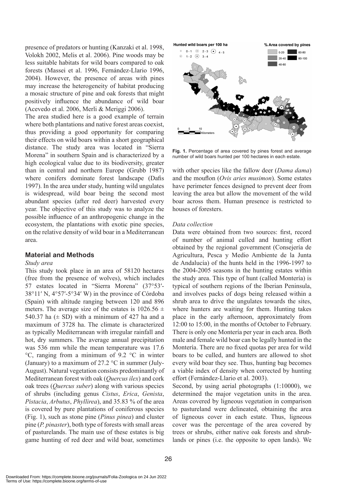presence of predators or hunting (Kanzaki et al. 1998, Volokh 2002, Melis et al. 2006). Pine woods may be less suitable habitats for wild boars compared to oak forests (Massei et al. 1996, Fernández-Llario 1996, 2004). However, the presence of areas with pines may increase the heterogeneity of habitat producing a mosaic structure of pine and oak forests that might positively influence the abundance of wild boar (Acevedo et al. 2006, Merli & Meriggi 2006).

The area studied here is a good example of terrain where both plantations and native forest areas coexist, thus providing a good opportunity for comparing their effects on wild boars within a short geographical distance. The study area was located in "Sierra Morena" in southern Spain and is characterized by a high ecological value due to its biodiversity, greater than in central and northern Europe (Grubb 1987) where conifers dominate forest landscape (Dafis 1997). In the area under study, hunting wild ungulates is widespread, wild boar being the second most abundant species (after red deer) harvested every year. The objective of this study was to analyze the possible influence of an anthropogenic change in the ecosystem, the plantations with exotic pine species, on the relative density of wild boar in a Mediterranean area.

### **Material and Methods**

### *Study area*

This study took place in an area of 58120 hectares (free from the presence of wolves), which includes 57 estates located in "Sierra Morena" (37°53′- 38°11′ N, 4°57′-5°34′ W) in the province of Córdoba (Spain) with altitude ranging between 120 and 896 meters. The average size of the estates is  $1026.56 \pm$ 540.37 ha  $(\pm S_D)$  with a minimum of 427 ha and a maximum of 3728 ha. The climate is characterized as typically Mediterranean with irregular rainfall and hot, dry summers. The average annual precipitation was 536 mm while the mean temperature was 17.6 °C, ranging from a minimum of 9.2 °C in winter (January) to a maximum of 27.2  $\degree$ C in summer (July-August). Natural vegetation consists predominantly of Mediterranean forest with oak (*Quercus ilex*) and cork oak trees (*Quercus suber*) along with various species of shrubs (including genus *Cistus*, *Erica*, *Genista*, *Pistacia*, *Arbutus*, *Phyllirea*), and 35.83 % of the area is covered by pure plantations of coniferous species (Fig. 1), such as stone pine (*Pinus pinea*) and cluster pine (*P. pinaster*), both type of forests with small areas of pasturelands. The main use of these estates is big game hunting of red deer and wild boar, sometimes



**Fig. 1.** Percentage of area covered by pines forest and average number of wild boars hunted per 100 hectares in each estate.

with other species like the fallow deer (*Dama dama*) and the mouflon (*Ovis aries musimon*). Some estates have perimeter fences designed to prevent deer from leaving the area but allow the movement of the wild boar across them. Human presence is restricted to houses of foresters.

#### *Data collection*

Data were obtained from two sources: first, record of number of animal culled and hunting effort obtained by the regional government (Consejería de Agricultura, Pesca y Medio Ambiente de la Junta de Andalucía) of the hunts held in the 1996-1997 to the 2004-2005 seasons in the hunting estates within the study area. This type of hunt (called Montería) is typical of southern regions of the Iberian Peninsula, and involves packs of dogs being released within a shrub area to drive the ungulates towards the sites, where hunters are waiting for them. Hunting takes place in the early afternoon, approximately from 12:00 to 15:00, in the months of October to February. There is only one Montería per year in each area. Both male and female wild boar can be legally hunted in the Montería. There are no fixed quotas per area for wild boars to be culled, and hunters are allowed to shot every wild boar they see. Thus, hunting bag becomes a viable index of density when corrected by hunting effort (Fernández-Llario et al. 2003).

Second, by using aerial photographs (1:10000), we determined the major vegetation units in the area. Areas covered by ligneous vegetation in comparison to pastureland were delineated, obtaining the area of ligneous cover in each estate. Thus, ligneous cover was the percentage of the area covered by trees or shrubs, either native oak forests and shrublands or pines (i.e. the opposite to open lands). We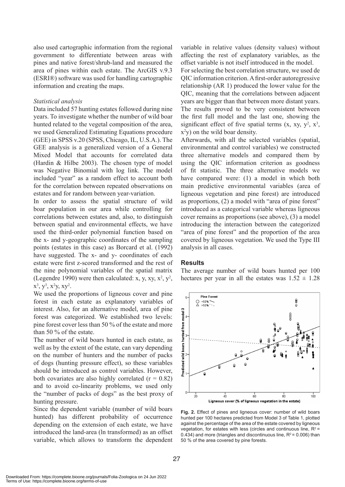also used cartographic information from the regional government to differentiate between areas with pines and native forest/shrub-land and measured the area of pines within each estate. The ArcGIS v.9.3 (ESRI®) software was used for handling cartographic information and creating the maps.

#### *Statistical analysis*

Data included 57 hunting estates followed during nine years. To investigate whether the number of wild boar hunted related to the vegetal composition of the area, we used Generalized Estimating Equations procedure (GEE) in SPSS v.20 (SPSS, Chicago, IL, U.S.A.). The GEE analysis is a generalized version of a General Mixed Model that accounts for correlated data (Hardin & Hilbe 2003). The chosen type of model was Negative Binomial with log link. The model included "year" as a random effect to account both for the correlation between repeated observations on estates and for random between year-variation.

In order to assess the spatial structure of wild boar population in our area while controlling for correlations between estates and, also, to distinguish between spatial and environmental effects, we have used the third-order polynomial function based on the x- and y-geographic coordinates of the sampling points (estates in this case) as Borcard et al. (1992) have suggested. The x- and y- coordinates of each estate were first z-scored transformed and the rest of the nine polynomial variables of the spatial matrix (Legendre 1990) were then calculated: x, y, xy,  $x^2$ ,  $y^2$ ,  $x^3$ ,  $y^3$ ,  $x^2y$ ,  $xy^2$ .

We used the proportions of ligneous cover and pine forest in each estate as explanatory variables of interest. Also, for an alternative model, area of pine forest was categorized. We established two levels: pine forest cover less than 50 % of the estate and more than 50 % of the estate.

The number of wild boars hunted in each estate, as well as by the extent of the estate, can vary depending on the number of hunters and the number of packs of dogs (hunting pressure effect), so these variables should be introduced as control variables. However, both covariates are also highly correlated  $(r = 0.82)$ and to avoid co-linearity problems, we used only the "number of packs of dogs" as the best proxy of hunting pressure.

Since the dependent variable (number of wild boars hunted) has different probability of occurrence depending on the extension of each estate, we have introduced the land-area (ln transformed) as an offset variable, which allows to transform the dependent variable in relative values (density values) without affecting the rest of explanatory variables, as the offset variable is not itself introduced in the model.

For selecting the best correlation structure, we used de QIC information criterion. A first-order autoregressive relationship (AR 1) produced the lower value for the QIC, meaning that the correlations between adjacent years are bigger than that between more distant years. The results proved to be very consistent between the first full model and the last one, showing the significant effect of five spatial terms (x, xy, y2 , x3 , x2 y) on the wild boar density.

Afterwards, with all the selected variables (spatial, environmental and control variables) we constructed three alternative models and compared them by using the QIC information criterion as goodness of fit statistic. The three alternative models we have compared were: (1) a model in which both main predictive environmental variables (area of ligneous vegetation and pine forest) are introduced as proportions, (2) a model with "area of pine forest" introduced as a categorical variable whereas ligneous cover remains as proportions (see above), (3) a model introducing the interaction between the categorized "area of pine forest" and the proportion of the area covered by ligneous vegetation. We used the Type III analysis in all cases.

#### **Results**

The average number of wild boars hunted per 100 hectares per year in all the estates was  $1.52 \pm 1.28$ 



**Fig. 2.** Effect of pines and ligneous cover: number of wild boars hunted per 100 hectares predicted from Model 3 of Table 1, plotted against the percentage of the area of the estate covered by ligneous vegetation, for estates with less (circles and continuous line,  $R^2$  = 0.434) and more (triangles and discontinuous line,  $R^2$  = 0.006) than 50 % of the area covered by pine forests.

Downloaded From: https://complete.bioone.org/journals/Folia-Zoologica on 24 Jun 2022 Terms of Use: https://complete.bioone.org/terms-of-use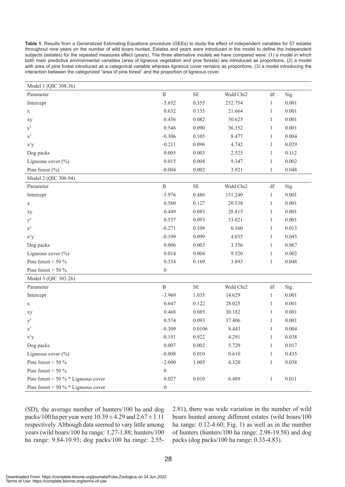**Table 1.** Results from a Generalized Estimating Equations procedure (GEEs) to study the effect of independent variables for 57 estates throughout nine years on the number of wild boars hunted. Estates and years were introduced in the model to define the independent subjects (estates) for the repeated measures effect (years). The three alternative models we have compared were: (1) a model in which both main predictive environmental variables (area of ligneous vegetation and pine forests) are introduced as proportions, (2) a model with area of pine forest introduced as a categorical variable whereas ligneous cover remains as proportions, (3) a model introducing the interaction between the categorized "area of pine forest" and the proportion of ligneous cover.

| Model 1 (QIC 308.36)                    |                  |          |           |                        |       |
|-----------------------------------------|------------------|----------|-----------|------------------------|-------|
| Parameter                               | $\, {\bf B}$     | $\rm SE$ | Wald Chi2 | $\mathrm{d}\mathrm{f}$ | Sig.  |
| Intercept                               | $-5.652$         | 0.355    | 252.754   | $\mathbf{1}$           | 0.001 |
| $\mathbf X$                             | 0.632            | 0.135    | 21.664    | $\mathbf{1}$           | 0.001 |
| xy                                      | 0.456            | 0.082    | 30.625    | $\mathbf{1}$           | 0.001 |
| $y^2$                                   | 0.546            | 0.090    | 36.352    | $\mathbf{1}$           | 0.001 |
| $x^3$                                   | $-0.306$         | 0.105    | 8.477     | $\mathbf{1}$           | 0.004 |
| $x^2y$                                  | $-0.211$         | 0.096    | 4.742     | $\mathbf{1}$           | 0.029 |
| Dog packs                               | 0.005            | 0.003    | 2.525     | $\mathbf{1}$           | 0.112 |
| Ligneous cover (%)                      | 0.015            | 0.004    | 9.347     | $\mathbf{1}$           | 0.002 |
| Pine forest $(\% )$                     | $-0.004$         | 0.002    | 3.921     | $\mathbf{1}$           | 0.048 |
| Model 2 (QIC 306.94)                    |                  |          |           |                        |       |
| Parameter                               | $\, {\bf B}$     | $\rm SE$ | Wald Chi2 | $\mathrm{d}\mathbf{f}$ | Sig.  |
| Intercept                               | $-5.976$         | 0.486    | 151.240   | $\mathbf{1}$           | 0.001 |
| $\mathbf X$                             | 0.580            | 0.127    | 20.538    | $\mathbf{1}$           | 0.001 |
| xy                                      | 0.449            | 0.083    | 28.815    | $\mathbf{1}$           | 0.001 |
| $y^2$                                   | 0.537            | 0.093    | 33.021    | $\mathbf{1}$           | 0.001 |
| $\mathbf{x}^3$                          | $-0.271$         | 0.109    | 6.160     | $\mathbf{1}$           | 0.013 |
| $x^2y$                                  | $-0.199$         | 0.099    | 4.035     | $\mathbf{1}$           | 0.045 |
| Dog packs                               | 0.006            | 0.003    | 3.356     | $\mathbf{1}$           | 0.067 |
| Ligneous cover $(\% )$                  | 0.014            | 0.004    | 9.520     | $\mathbf{1}$           | 0.002 |
| Pine forest < 50 $\%$                   | 0.334            | 0.169    | 3.893     | $\mathbf{1}$           | 0.048 |
| Pine forest $> 50 \%$                   | $\boldsymbol{0}$ |          |           |                        |       |
| Model 3 (QIC 303.26)                    |                  |          |           |                        |       |
| Parameter                               | $\, {\bf B}$     | $\rm SE$ | Wald Chi2 | df                     | Sig.  |
| Intercept                               | $-3.960$         | 1.035    | 14.629    | $\mathbf{1}$           | 0.001 |
| $\mathbf X$                             | 0.647            | 0.122    | 28.025    | $\mathbf{1}$           | 0.001 |
| xy                                      | 0.468            | 0.085    | 30.182    | $\mathbf{1}$           | 0.001 |
| $y^2$                                   | 0.574            | 0.093    | 37.406    | $\mathbf{1}$           | 0.001 |
| $\mathbf{x}^3$                          | $-0.309$         | 0.0106   | 8.443     | $\mathbf{1}$           | 0.004 |
| $x^2y$                                  | $-0.191$         | 0.922    | 4.291     | $\mathbf{1}$           | 0.038 |
| Dog packs                               | 0.007            | 0.002    | 5.729     | $\mathbf{1}$           | 0.017 |
| Ligneous cover $(\% )$                  | $-0.008$         | 0.010    | 0.610     | $\mathbf{1}$           | 0.435 |
| Pine forest < 50 $\%$                   | $-2.090$         | 1.005    | 4.320     | $\mathbf{1}$           | 0.038 |
| Pine forest $> 50 \%$                   | $\boldsymbol{0}$ |          |           |                        |       |
| Pine forest $<$ 50 % $*$ Ligneous cover | 0.027            | 0.010    | 6.489     | $\mathbf{1}$           | 0.011 |
| Pine forest $> 50 \%$ * Ligneous cover  | $\boldsymbol{0}$ |          |           |                        |       |

(SD), the average number of hunters/100 ha and dog packs/100 ha per year were  $10.39 \pm 4.29$  and  $2.67 \pm 1.11$ respectively. Although data seemed to vary little among years (wild boars/100 ha range: 1.27-1.88; hunters/100 ha range: 9.84-10.93; dog packs/100 ha range: 2.552.81), there was wide variation in the number of wild boars hunted among different estates (wild boars/100 ha range: 0.12-4.60; Fig. 1) as well as in the number of hunters (hunters/100 ha range: 2.98-19.58) and dog packs (dog packs/100 ha range: 0.33-4.83).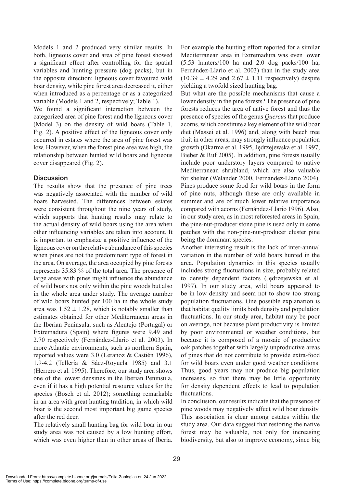Models 1 and 2 produced very similar results. In both, ligneous cover and area of pine forest showed a significant effect after controlling for the spatial variables and hunting pressure (dog packs), but in the opposite direction: ligneous cover favoured wild boar density, while pine forest area decreased it, either when introduced as a percentage or as a categorized variable (Models 1 and 2, respectively; Table 1).

We found a significant interaction between the categorized area of pine forest and the ligneous cover (Model 3) on the density of wild boars (Table 1, Fig. 2). A positive effect of the ligneous cover only occurred in estates where the area of pine forest was low. However, when the forest pine area was high, the relationship between hunted wild boars and ligneous cover disappeared (Fig. 2).

## **Discussion**

The results show that the presence of pine trees was negatively associated with the number of wild boars harvested. The differences between estates were consistent throughout the nine years of study, which supports that hunting results may relate to the actual density of wild boars using the area when other influencing variables are taken into account. It is important to emphasize a positive influence of the ligneous cover on the relative abundance of this species when pines are not the predominant type of forest in the area. On average, the area occupied by pine forests represents 35.83 % of the total area. The presence of large areas with pines might influence the abundance of wild boars not only within the pine woods but also in the whole area under study. The average number of wild boars hunted per 100 ha in the whole study area was  $1.52 \pm 1.28$ , which is notably smaller than estimates obtained for other Mediterranean areas in the Iberian Peninsula, such as Alentejo (Portugal) or Extremadura (Spain) where figures were 9.49 and 2.70 respectively (Fernández-Llario et al. 2003). In more Atlantic environments, such as northern Spain, reported values were 3.0 (Leranoz & Castién 1996), 1.9-4.2 (Tellería & Sáez-Royuela 1985) and 3.1 (Herrero et al. 1995). Therefore, our study area shows one of the lowest densities in the Iberian Peninsula, even if it has a high potential resource values for the species (Bosch et al. 2012); something remarkable in an area with great hunting tradition, in which wild boar is the second most important big game species after the red deer.

The relatively small hunting bag for wild boar in our study area was not caused by a low hunting effort, which was even higher than in other areas of Iberia.

For example the hunting effort reported for a similar Mediterranean area in Extremadura was even lower (5.53 hunters/100 ha and 2.0 dog packs/100 ha, Fernández-Llario et al. 2003) than in the study area  $(10.39 \pm 4.29 \text{ and } 2.67 \pm 1.11 \text{ respectively})$  despite yielding a twofold sized hunting bag.

But what are the possible mechanisms that cause a lower density in the pine forests? The presence of pine forests reduces the area of native forest and thus the presence of species of the genus *Quercus* that produce acorns, which constitute a key element of the wild boar diet (Massei et al. 1996) and, along with beech tree fruit in other areas, may strongly influence population growth (Okarma et al. 1995, Jędrzejewska et al. 1997, Bieber & Ruf 2005). In addition, pine forests usually include poor understory layers compared to native Mediterranean shrubland, which are also valuable for shelter (Welander 2000, Fernández-Llario 2004). Pines produce some food for wild boars in the form of pine nuts, although these are only available in summer and are of much lower relative importance compared with acorns (Fernández-Llario 1996). Also, in our study area, as in most reforested areas in Spain, the pine-nut-producer stone pine is used only in some patches with the non-pine-nut-producer cluster pine being the dominant species.

Another interesting result is the lack of inter-annual variation in the number of wild boars hunted in the area. Population dynamics in this species usually includes strong fluctuations in size, probably related to density dependent factors (Jędrzejewska et al. 1997). In our study area, wild boars appeared to be in low density and seem not to show too strong population fluctuations. One possible explanation is that habitat quality limits both density and population fluctuations. In our study area, habitat may be poor on average, not because plant productivity is limited by poor environmental or weather conditions, but because it is composed of a mosaic of productive oak patches together with largely unproductive areas of pines that do not contribute to provide extra-food for wild boars even under good weather conditions. Thus, good years may not produce big population increases, so that there may be little opportunity for density dependent effects to lead to population fluctuations.

In conclusion, our results indicate that the presence of pine woods may negatively affect wild boar density. This association is clear among estates within the study area. Our data suggest that restoring the native forest may be valuable, not only for increasing biodiversity, but also to improve economy, since big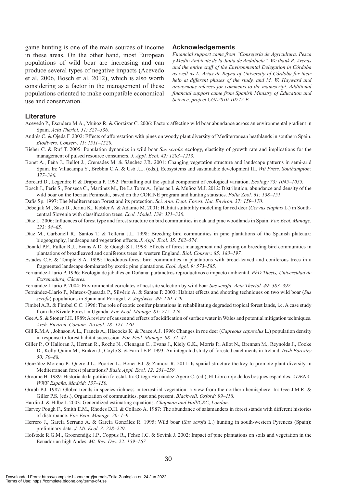game hunting is one of the main sources of income in these areas. On the other hand, most European populations of wild boar are increasing and can produce several types of negative impacts (Acevedo et al. 2006, Bosch et al. 2012), which is also worth considering as a factor in the management of these populations oriented to make compatible economical use and conservation.

#### **Acknowledgements**

*Financial support came from "Consejería de Agricultura, Pesca y Medio Ambiente de la Junta de Andalucía". We thank R. Arenas and the entire staff of the Environmental Delegation in Córdoba as well as L. Arias de Reyna of University of Córdoba for their help at different phases of the study, and M. W. Hayward and anonymous referees for comments to the manuscript. Additional financial support came from Spanish Ministry of Education and Science, project CGL2010-10772-E.*

#### **Literature**

- Acevedo P., Escudero M.A., Muñoz R. & Gortázar C. 2006: Factors affecting wild boar abundance across an environmental gradient in Spain. *Acta Theriol. 51: 327–336.*
- Andrés C. & Ojeda F. 2002: Effects of afforestation with pines on woody plant diversity of Mediterranean heathlands in southern Spain. *Biodivers. Conserv. 11: 1511–1520*.
- Bieber C. & Ruf T. 2005: Population dynamics in wild boar *Sus scrofa*: ecology, elasticity of growth rate and implications for the management of pulsed resource consumers. *J. Appl. Ecol. 42: 1203–1213.*
- Bonet A., Peña J., Bellot J., Cremades M. & Sánchez J.R. 2001: Changing vegetation structure and landscape patterns in semi-arid Spain. In: Villacampa Y., Brebbia C.A. & Usó J.L. (eds.), Ecosystems and sustainable development III. *Wit Press, Southampton: 377–386.*
- Borcard D., Legendre P. & Drapeau P. 1992: Partialling out the spatial component of ecological variation. *Ecology 73: 1045–1055.*
- Bosch J., Peris S., Fonseca C., Martinez M., De La Torre A., Iglesias I. & Muñoz M.J. 2012: Distribution, abundance and density of the wild boar on the Iberian Peninsula, based on the CORINE program and hunting statistics. *Folia Zool. 61: 138–151.*
- Dafis Sp. 1997: The Mediterranean Forest and its protection. *Sci. Ann. Dept. Forest. Nat. Environ. 37: 159–170.*
- Debeljak M., Saso D., Jerina K., Kobler A. & Adamic M. 2001: Habitat suitability modelling for red deer (*Cervus elaphus* L.) in Southcentral Slovenia with classification trees. *Ecol. Model. 138: 321–330.*
- Díaz L. 2006: Influences of forest type and forest structure on bird communities in oak and pine woodlands in Spain. *For. Ecol. Manage. 223: 54–65.*
- Díaz M., Carbonell R., Santos T. & Telleria J.L. 1998: Breeding bird communities in pine plantations of the Spanish plateaux: biogeography, landscape and vegetation effects. *J. Appl. Ecol. 35: 562–574.*
- Donald P.F., Fuller R.J., Evans A.D. & Gough S.J. 1998: Effects of forest management and grazing on breeding bird communities in plantations of broadleaved and coniferous trees in western England. *Biol. Conserv. 85: 183–197.*
- Estades C.F. & Temple S.A. 1999: Deciduous-forest bird communities in plantations with broad-leaved and coniferous trees in a fragmented landscape dominated by exotic pine plantations. *Ecol. Appl. 9: 573–585.*
- Fernández-Llario P. 1996: Ecología de jabalíes en Doñana: parámetros reproductivos e impacto ambiental. *PhD Thesis, Universidad de Extremadura, Cáceres.*
- Fernández-Llario P. 2004: Environmental correlates of nest site selection by wild boar *Sus scrofa*. *Acta Theriol. 49: 383–392.*
- Fernández-Llario P., Mateos-Quesada P., Silvério A. & Santos P. 2003: Habitat effects and shooting techniques on two wild boar (*Sus scrofa*) populations in Spain and Portugal. *Z. Jagdwiss. 49: 120–129.*
- Fimbel A.R. & Fimbel C.C. 1996: The role of exotic conifer plantations in rehabilitating degraded tropical forest lands, i.c. A case study from the Kivale Forest in Uganda. *For. Ecol. Manage. 81: 215–226.*
- Gee A.S. & Stoner J.H. 1989: A review of causes and effects of acidification of surface water in Wales and potential mitigation techniques. *Arch. Environ. Contam. Toxicol. 18: 121–130.*
- Gill R.M.A., Johnson A.L., Francis A., Hiscocks K. & Peace A.J. 1996: Changes in roe deer (*Capreous capreolus* L.) population density in response to forest habitat succession. *For. Ecol. Manage. 88: 31–41.*
- Giller P., O'Halloran J., Hernan R., Roche N., Clenagan C., Evans J., Kiely G.K., Morris P., Allot N., Brennan M., Reynolds J., Cooke D., Kelly-Quinn M., Braken J., Coyle S. & Farrel E.P. 1993: An integrated study of forested catchments in Ireland. *Irish Forestry 50: 70–88.*
- González-Moreno P., Quero J.L., Poorter L., Bonet F.J. & Zamora R. 2011: Is spatial structure the key to promote plant diversity in Mediterranean forest plantations? *Basic Appl. Ecol. 12: 251–259.*
- Groome H. 1989: Historia de la política forestal. In: Ortega Hernández-Agero C. (ed.), El Libro rojo de los bosques españoles. *ADENA-WWF España, Madrid: 137–150.*
- Grubb P.J. 1987: Global trends in species-richness in terrestrial vegetation: a view from the northern hemisphere. In: Gee J.M.R. & Giller P.S. (eds.), Organization of communities, past and present. *Blackwell, Oxford: 99–118.*
- Hardin J. & Hilbe J. 2003: Generalized estimating equations. *Chapman and Hall/CRC, London*.
- Harvey Pough F., Smith E.M., Rhodes D.H. & Collazo A. 1987: The abundance of salamanders in forest stands with different histories of disturbance. *For. Ecol. Manage. 20: 1–9.*
- Herrero J., García Serrano A. & García González R. 1995: Wild boar (*Sus scrofa* L.) hunting in south-western Pyrenees (Spain): preliminary data. *J. Mt. Ecol. 3: 228–229*.
- Hofstede R.G.M., Groenendijk J.P., Coppus R., Fehse J.C. & Sevink J. 2002: Impact of pine plantations on soils and vegetation in the Ecuadorian high Andes. *Mt. Res. Dev. 22: 159–167.*